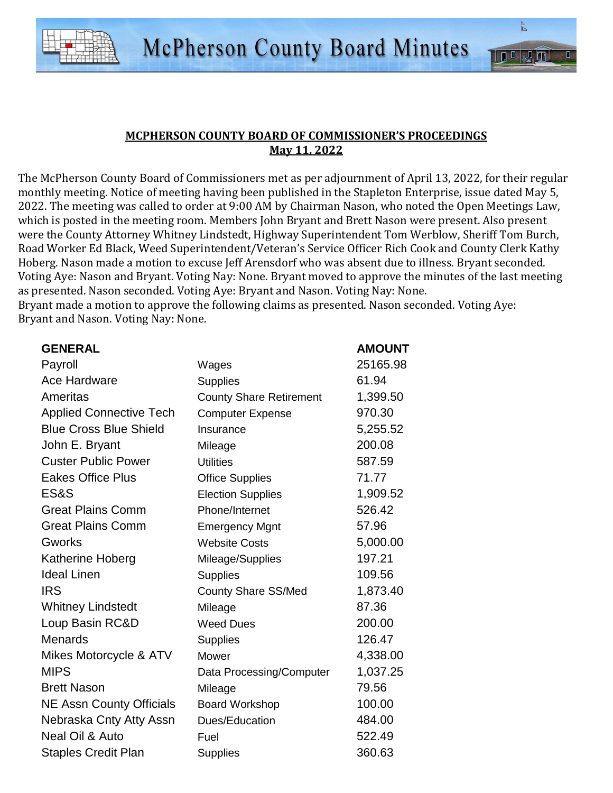

## **MCPHERSON COUNTY BOARD OF COMMISSIONER'S PROCEEDINGS May 11, 2022**

The McPherson County Board of Commissioners met as per adjournment of April 13, 2022, for their regular monthly meeting. Notice of meeting having been published in the Stapleton Enterprise, issue dated May 5, 2022. The meeting was called to order at 9:00 AM by Chairman Nason, who noted the Open Meetings Law, which is posted in the meeting room. Members John Bryant and Brett Nason were present. Also present were the County Attorney Whitney Lindstedt, Highway Superintendent Tom Werblow, Sheriff Tom Burch, Road Worker Ed Black, Weed Superintendent/Veteran's Service Officer Rich Cook and County Clerk Kathy Hoberg. Nason made a motion to excuse Jeff Arensdorf who was absent due to illness. Bryant seconded. Voting Aye: Nason and Bryant. Voting Nay: None. Bryant moved to approve the minutes of the last meeting as presented. Nason seconded. Voting Aye: Bryant and Nason. Voting Nay: None.

Bryant made a motion to approve the following claims as presented. Nason seconded. Voting Aye: Bryant and Nason. Voting Nay: None.

| <b>GENERAL</b>                  |                                | <b>AMOUNT</b> |
|---------------------------------|--------------------------------|---------------|
| Payroll                         | Wages                          | 25165.98      |
| <b>Ace Hardware</b>             | <b>Supplies</b>                | 61.94         |
| Ameritas                        | <b>County Share Retirement</b> | 1,399.50      |
| <b>Applied Connective Tech</b>  | <b>Computer Expense</b>        | 970.30        |
| <b>Blue Cross Blue Shield</b>   | Insurance                      | 5,255.52      |
| John E. Bryant                  | Mileage                        | 200.08        |
| <b>Custer Public Power</b>      | <b>Utilities</b>               | 587.59        |
| <b>Eakes Office Plus</b>        | <b>Office Supplies</b>         | 71.77         |
| ES&S                            | <b>Election Supplies</b>       | 1,909.52      |
| <b>Great Plains Comm</b>        | Phone/Internet                 | 526.42        |
| <b>Great Plains Comm</b>        | <b>Emergency Mgnt</b>          | 57.96         |
| <b>Gworks</b>                   | <b>Website Costs</b>           | 5,000.00      |
| Katherine Hoberg                | Mileage/Supplies               | 197.21        |
| <b>Ideal Linen</b>              | <b>Supplies</b>                | 109.56        |
| <b>IRS</b>                      | County Share SS/Med            | 1,873.40      |
| <b>Whitney Lindstedt</b>        | Mileage                        | 87.36         |
| Loup Basin RC&D                 | <b>Weed Dues</b>               | 200.00        |
| <b>Menards</b>                  | <b>Supplies</b>                | 126.47        |
| Mikes Motorcycle & ATV          | Mower                          | 4,338.00      |
| <b>MIPS</b>                     | Data Processing/Computer       | 1,037.25      |
| <b>Brett Nason</b>              | Mileage                        | 79.56         |
| <b>NE Assn County Officials</b> | <b>Board Workshop</b>          | 100.00        |
| Nebraska Cnty Atty Assn         | Dues/Education                 | 484.00        |
| Neal Oil & Auto                 | Fuel                           | 522.49        |
| <b>Staples Credit Plan</b>      | <b>Supplies</b>                | 360.63        |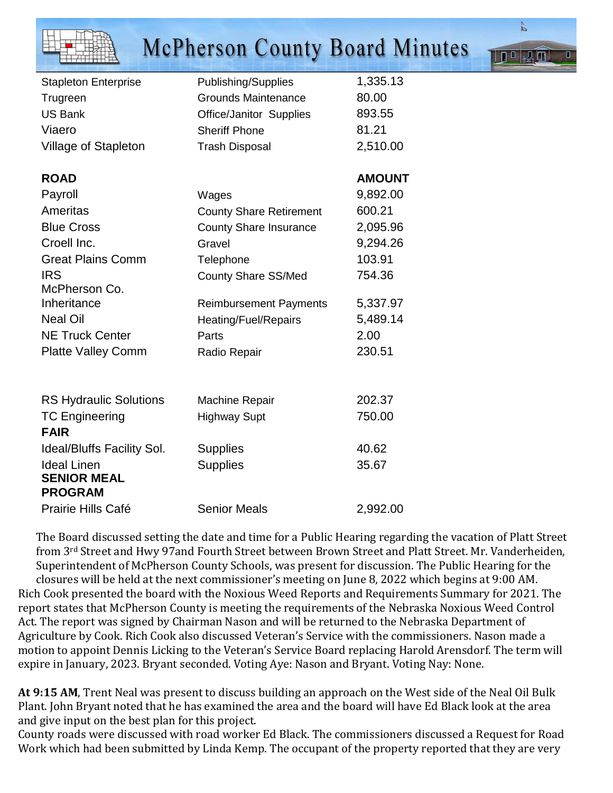|                                                            | <b>McPherson County Board Minutes</b> |               |
|------------------------------------------------------------|---------------------------------------|---------------|
| <b>Stapleton Enterprise</b>                                | Publishing/Supplies                   | 1,335.13      |
| Trugreen                                                   | <b>Grounds Maintenance</b>            | 80.00         |
| <b>US Bank</b>                                             | Office/Janitor Supplies               | 893.55        |
| Viaero                                                     | <b>Sheriff Phone</b>                  | 81.21         |
| Village of Stapleton                                       | <b>Trash Disposal</b>                 | 2,510.00      |
| <b>ROAD</b>                                                |                                       | <b>AMOUNT</b> |
| Payroll                                                    | Wages                                 | 9,892.00      |
| Ameritas                                                   | <b>County Share Retirement</b>        | 600.21        |
| <b>Blue Cross</b>                                          | <b>County Share Insurance</b>         | 2,095.96      |
| Croell Inc.                                                | Gravel                                | 9,294.26      |
| <b>Great Plains Comm</b>                                   | Telephone                             | 103.91        |
| <b>IRS</b><br>McPherson Co.                                | <b>County Share SS/Med</b>            | 754.36        |
| Inheritance                                                | <b>Reimbursement Payments</b>         | 5,337.97      |
| <b>Neal Oil</b>                                            | Heating/Fuel/Repairs                  | 5,489.14      |
| <b>NE Truck Center</b>                                     | Parts                                 | 2.00          |
| <b>Platte Valley Comm</b>                                  | Radio Repair                          | 230.51        |
|                                                            |                                       |               |
| <b>RS Hydraulic Solutions</b>                              | <b>Machine Repair</b>                 | 202.37        |
| <b>TC Engineering</b><br><b>FAIR</b>                       | <b>Highway Supt</b>                   | 750.00        |
| <b>Ideal/Bluffs Facility Sol.</b>                          | <b>Supplies</b>                       | 40.62         |
| <b>Ideal Linen</b><br><b>SENIOR MEAL</b><br><b>PROGRAM</b> | <b>Supplies</b>                       | 35.67         |
| <b>Prairie Hills Café</b>                                  | <b>Senior Meals</b>                   | 2,992.00      |

 $\overline{\mathsf{p}}$ 

**III MYN** 

The Board discussed setting the date and time for a Public Hearing regarding the vacation of Platt Street from 3rd Street and Hwy 97and Fourth Street between Brown Street and Platt Street. Mr. Vanderheiden, Superintendent of McPherson County Schools, was present for discussion. The Public Hearing for the closures will be held at the next commissioner's meeting on June 8, 2022 which begins at 9:00 AM. Rich Cook presented the board with the Noxious Weed Reports and Requirements Summary for 2021. The report states that McPherson County is meeting the requirements of the Nebraska Noxious Weed Control Act. The report was signed by Chairman Nason and will be returned to the Nebraska Department of Agriculture by Cook. Rich Cook also discussed Veteran's Service with the commissioners. Nason made a motion to appoint Dennis Licking to the Veteran's Service Board replacing Harold Arensdorf. The term will expire in January, 2023. Bryant seconded. Voting Aye: Nason and Bryant. Voting Nay: None.

**At 9:15 AM**, Trent Neal was present to discuss building an approach on the West side of the Neal Oil Bulk Plant. John Bryant noted that he has examined the area and the board will have Ed Black look at the area and give input on the best plan for this project.

County roads were discussed with road worker Ed Black. The commissioners discussed a Request for Road Work which had been submitted by Linda Kemp. The occupant of the property reported that they are very